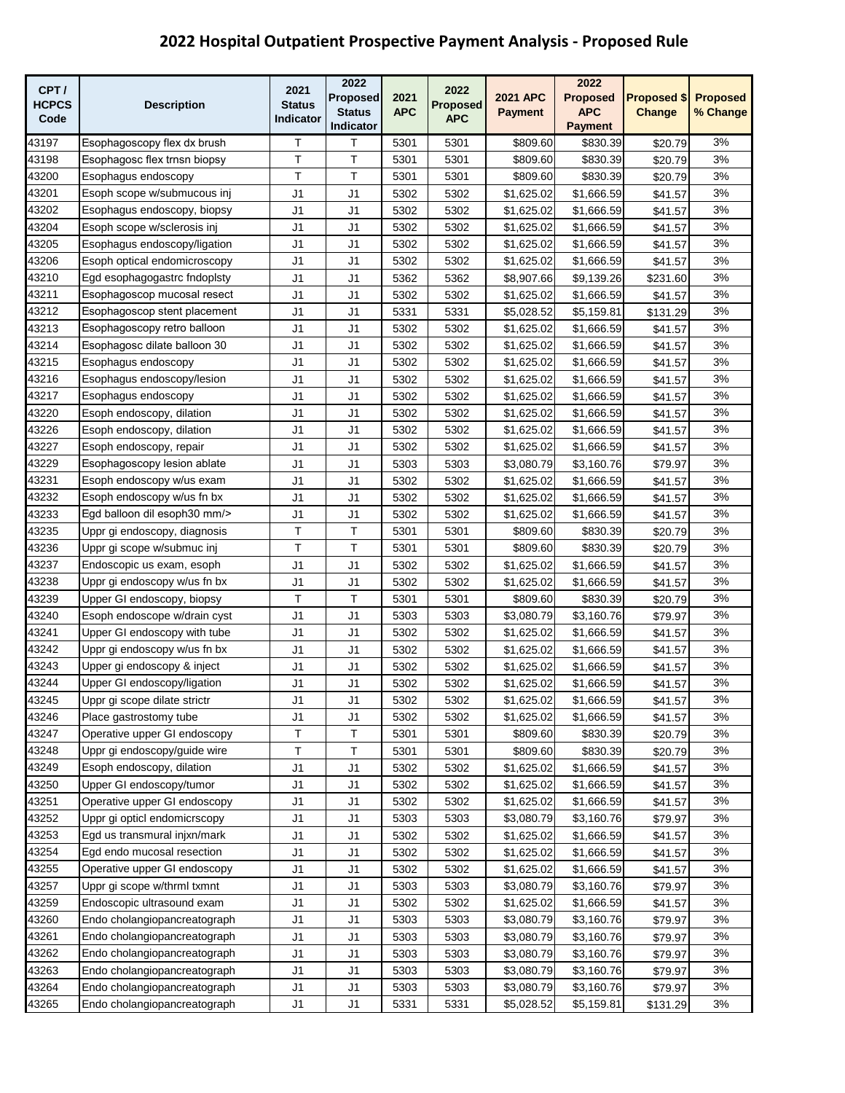| CPT/         |                               | 2021           | 2022           |            | 2022            |                 | 2022           |                    |                 |
|--------------|-------------------------------|----------------|----------------|------------|-----------------|-----------------|----------------|--------------------|-----------------|
| <b>HCPCS</b> | <b>Description</b>            | <b>Status</b>  | Proposed       | 2021       | <b>Proposed</b> | <b>2021 APC</b> | Proposed       | <b>Proposed \$</b> | <b>Proposed</b> |
| Code         |                               | Indicator      | <b>Status</b>  | <b>APC</b> | <b>APC</b>      | <b>Payment</b>  | <b>APC</b>     | Change             | % Change        |
|              |                               |                | Indicator      |            |                 |                 | <b>Payment</b> |                    |                 |
| 43197        | Esophagoscopy flex dx brush   | Τ              | т              | 5301       | 5301            | \$809.60        | \$830.39       | \$20.79            | 3%              |
| 43198        | Esophagosc flex trnsn biopsy  | T.             | T              | 5301       | 5301            | \$809.60        | \$830.39       | \$20.79            | 3%              |
| 43200        | Esophagus endoscopy           | T              | T              | 5301       | 5301            | \$809.60        | \$830.39       | \$20.79            | 3%              |
| 43201        | Esoph scope w/submucous inj   | J1             | J1             | 5302       | 5302            | \$1,625.02      | \$1,666.59     | \$41.57            | 3%              |
| 43202        | Esophagus endoscopy, biopsy   | J1             | J <sub>1</sub> | 5302       | 5302            | \$1,625.02      | \$1,666.59     | \$41.57            | 3%              |
| 43204        | Esoph scope w/sclerosis inj   | J1             | J <sub>1</sub> | 5302       | 5302            | \$1,625.02      | \$1,666.59     | \$41.57            | 3%              |
| 43205        | Esophagus endoscopy/ligation  | J1             | J <sub>1</sub> | 5302       | 5302            | \$1,625.02      | \$1,666.59     | \$41.57            | 3%              |
| 43206        | Esoph optical endomicroscopy  | J1             | J1             | 5302       | 5302            | \$1,625.02      | \$1,666.59     | \$41.57            | 3%              |
| 43210        | Egd esophagogastrc fndoplsty  | J1             | J1             | 5362       | 5362            | \$8,907.66      | \$9,139.26     | \$231.60           | 3%              |
| 43211        | Esophagoscop mucosal resect   | J1             | J1             | 5302       | 5302            | \$1,625.02      | \$1,666.59     | \$41.57            | 3%              |
| 43212        | Esophagoscop stent placement  | J <sub>1</sub> | J <sub>1</sub> | 5331       | 5331            | \$5,028.52      | \$5,159.81     | \$131.29           | 3%              |
| 43213        | Esophagoscopy retro balloon   | J <sub>1</sub> | J <sub>1</sub> | 5302       | 5302            | \$1,625.02      | \$1,666.59     | \$41.57            | 3%              |
| 43214        | Esophagosc dilate balloon 30  | J1             | J1             | 5302       | 5302            | \$1,625.02      | \$1,666.59     | \$41.57            | 3%              |
| 43215        | Esophagus endoscopy           | J1             | J <sub>1</sub> | 5302       | 5302            | \$1,625.02      | \$1,666.59     | \$41.57            | 3%              |
| 43216        | Esophagus endoscopy/lesion    | J1             | J1             | 5302       | 5302            | \$1,625.02      | \$1,666.59     | \$41.57            | 3%              |
| 43217        | Esophagus endoscopy           | J1             | J1             | 5302       | 5302            | \$1,625.02      | \$1,666.59     | \$41.57            | 3%              |
| 43220        | Esoph endoscopy, dilation     | J1             | J <sub>1</sub> | 5302       | 5302            | \$1,625.02      | \$1,666.59     | \$41.57            | 3%              |
| 43226        | Esoph endoscopy, dilation     | J1             | J <sub>1</sub> | 5302       | 5302            | \$1,625.02      | \$1,666.59     | \$41.57            | 3%              |
| 43227        | Esoph endoscopy, repair       | J <sub>1</sub> | J <sub>1</sub> | 5302       | 5302            | \$1,625.02      | \$1,666.59     | \$41.57            | 3%              |
| 43229        | Esophagoscopy lesion ablate   | J1             | J1             | 5303       | 5303            | \$3,080.79      | \$3,160.76     | \$79.97            | 3%              |
| 43231        | Esoph endoscopy w/us exam     | J1             | J1             | 5302       | 5302            | \$1,625.02      | \$1,666.59     | \$41.57            | 3%              |
| 43232        | Esoph endoscopy w/us fn bx    | J1             | J <sub>1</sub> | 5302       | 5302            | \$1,625.02      | \$1,666.59     | \$41.57            | 3%              |
| 43233        | Egd balloon dil esoph 30 mm/> | J <sub>1</sub> | J <sub>1</sub> | 5302       | 5302            | \$1,625.02      | \$1,666.59     | \$41.57            | 3%              |
| 43235        | Uppr gi endoscopy, diagnosis  | T              | Τ              | 5301       | 5301            | \$809.60        | \$830.39       | \$20.79            | 3%              |
| 43236        | Uppr gi scope w/submuc inj    | T.             | T              | 5301       | 5301            | \$809.60        | \$830.39       | \$20.79            | 3%              |
| 43237        | Endoscopic us exam, esoph     | J1             | J <sub>1</sub> | 5302       | 5302            | \$1,625.02      | \$1,666.59     | \$41.57            | 3%              |
| 43238        | Uppr gi endoscopy w/us fn bx  | J1             | J1             | 5302       | 5302            | \$1,625.02      | \$1,666.59     | \$41.57            | 3%              |
| 43239        | Upper GI endoscopy, biopsy    | T              | т              | 5301       | 5301            | \$809.60        | \$830.39       | \$20.79            | 3%              |
| 43240        | Esoph endoscope w/drain cyst  | J1             | J <sub>1</sub> | 5303       | 5303            | \$3,080.79      | \$3,160.76     | \$79.97            | 3%              |
| 43241        | Upper GI endoscopy with tube  | J1             | J1             | 5302       | 5302            | \$1,625.02      | \$1,666.59     | \$41.57            | 3%              |
| 43242        | Uppr gi endoscopy w/us fn bx  | J1             | J1             | 5302       | 5302            | \$1,625.02      | \$1,666.59     | \$41.57            | 3%              |
| 43243        | Upper gi endoscopy & inject   | J1             | J1             | 5302       | 5302            | \$1,625.02      | \$1,666.59     | \$41.57            | 3%              |
| 43244        | Upper GI endoscopy/ligation   | J1             | J1             | 5302       | 5302            | \$1,625.02      | \$1,666.59     | \$41.57            | 3%              |
| 43245        | Uppr gi scope dilate strictr  | J1             | J1             | 5302       | 5302            | \$1,625.02      | \$1,666.59     | \$41.57            | 3%              |
| 43246        | Place gastrostomy tube        | J1             | J1             | 5302       | 5302            | \$1,625.02      | \$1,666.59     | \$41.57            | 3%              |
| 43247        | Operative upper GI endoscopy  | Τ              | Т              | 5301       | 5301            | \$809.60        | \$830.39       | \$20.79            | 3%              |
| 43248        | Uppr gi endoscopy/guide wire  | T              | Τ              | 5301       | 5301            | \$809.60        | \$830.39       | \$20.79            | 3%              |
| 43249        | Esoph endoscopy, dilation     | J1             | J1             | 5302       | 5302            | \$1,625.02      | \$1,666.59     | \$41.57            | 3%              |
| 43250        | Upper GI endoscopy/tumor      | J1             | J1             | 5302       | 5302            | \$1,625.02      | \$1,666.59     | \$41.57            | 3%              |
| 43251        | Operative upper GI endoscopy  | J1             | J <sub>1</sub> | 5302       | 5302            | \$1,625.02      | \$1,666.59     | \$41.57            | 3%              |
| 43252        | Uppr gi opticl endomicrscopy  | J1             | J <sub>1</sub> | 5303       | 5303            | \$3,080.79      | \$3,160.76     | \$79.97            | 3%              |
| 43253        | Egd us transmural injxn/mark  | J1             | J1             | 5302       | 5302            | \$1,625.02      | \$1,666.59     | \$41.57            | 3%              |
| 43254        | Egd endo mucosal resection    | J1             | J <sub>1</sub> | 5302       | 5302            | \$1,625.02      | \$1,666.59     | \$41.57            | 3%              |
| 43255        | Operative upper GI endoscopy  | J1             | J <sub>1</sub> | 5302       | 5302            | \$1,625.02      | \$1,666.59     | \$41.57            | 3%              |
| 43257        | Uppr gi scope w/thrml txmnt   | J1             | J1             | 5303       | 5303            | \$3,080.79      | \$3,160.76     | \$79.97            | 3%              |
| 43259        | Endoscopic ultrasound exam    | J1             | J <sub>1</sub> | 5302       | 5302            | \$1,625.02      | \$1,666.59     | \$41.57            | 3%              |
| 43260        | Endo cholangiopancreatograph  | J1             | J1             | 5303       | 5303            | \$3,080.79      | \$3,160.76     | \$79.97            | 3%              |
| 43261        | Endo cholangiopancreatograph  | J1             | J <sub>1</sub> | 5303       | 5303            | \$3,080.79      | \$3,160.76     | \$79.97            | 3%              |
| 43262        | Endo cholangiopancreatograph  | J1             | J1             | 5303       | 5303            | \$3,080.79      | \$3,160.76     | \$79.97            | 3%              |
| 43263        | Endo cholangiopancreatograph  | J1             | J1             | 5303       | 5303            | \$3,080.79      | \$3,160.76     | \$79.97            | 3%              |
| 43264        | Endo cholangiopancreatograph  | J1             | J1             | 5303       | 5303            | \$3,080.79      | \$3,160.76     | \$79.97            | 3%              |
| 43265        | Endo cholangiopancreatograph  | J1             | J1             | 5331       | 5331            | \$5,028.52      | \$5,159.81     | \$131.29           | 3%              |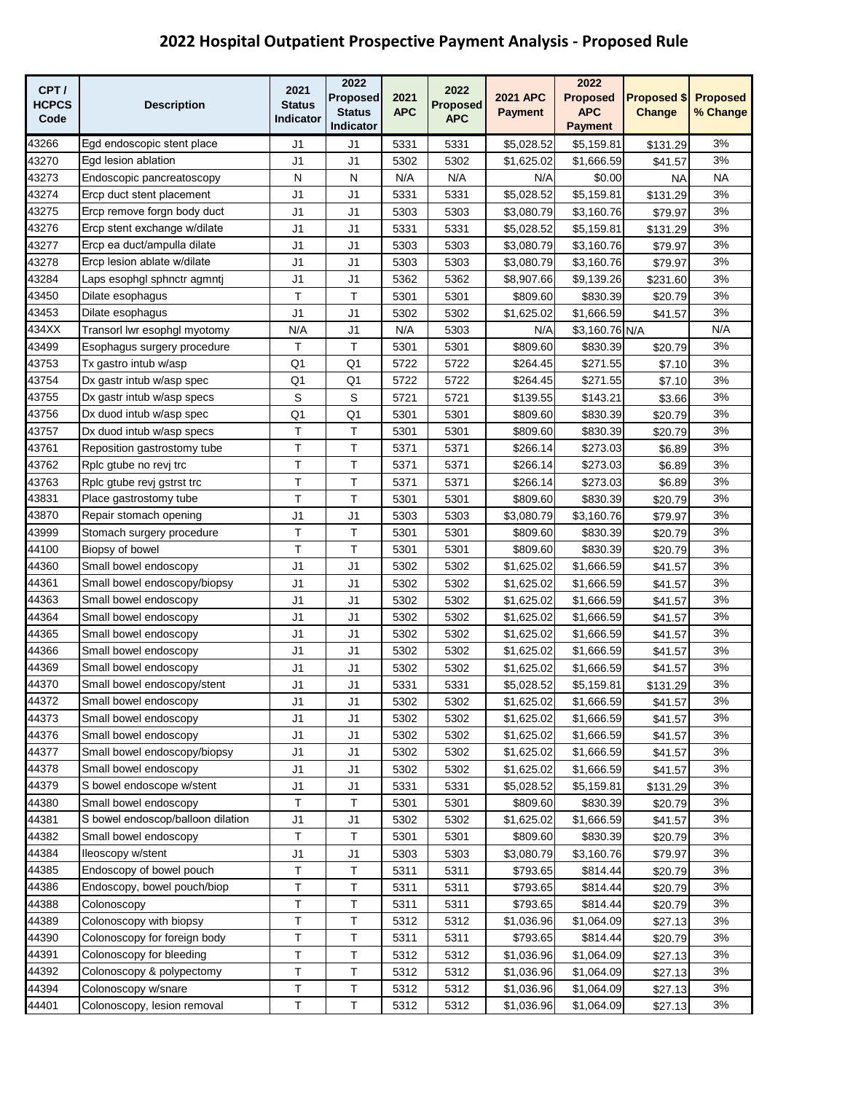| CPT/           |                                   | 2021           | 2022                       |            | 2022            |                   | 2022                         |                    |                 |
|----------------|-----------------------------------|----------------|----------------------------|------------|-----------------|-------------------|------------------------------|--------------------|-----------------|
| <b>HCPCS</b>   | <b>Description</b>                | <b>Status</b>  | Proposed                   | 2021       | <b>Proposed</b> | <b>2021 APC</b>   | Proposed                     | <b>Proposed \$</b> | <b>Proposed</b> |
| Code           |                                   | Indicator      | <b>Status</b><br>Indicator | <b>APC</b> | <b>APC</b>      | <b>Payment</b>    | <b>APC</b><br><b>Payment</b> | Change             | % Change        |
|                |                                   |                |                            |            |                 |                   |                              |                    |                 |
| 43266          | Egd endoscopic stent place        | J1             | J1                         | 5331       | 5331            | \$5,028.52        | \$5,159.81                   | \$131.29           | 3%<br>3%        |
| 43270<br>43273 | Egd lesion ablation               | J1             | J <sub>1</sub>             | 5302       | 5302            | \$1,625.02        | \$1,666.59                   | \$41.57            | <b>NA</b>       |
|                | Endoscopic pancreatoscopy         | ${\sf N}$      | ${\sf N}$                  | N/A        | N/A             | N/A<br>\$5,028.52 | \$0.00                       | ΝA                 |                 |
| 43274          | Ercp duct stent placement         | J1             | J1                         | 5331       | 5331            |                   | \$5,159.81                   | \$131.29           | 3%              |
| 43275          | Ercp remove forgn body duct       | J <sub>1</sub> | J1                         | 5303       | 5303            | \$3,080.79        | \$3,160.76                   | \$79.97            | 3%              |
| 43276          | Ercp stent exchange w/dilate      | J1             | J <sub>1</sub>             | 5331       | 5331            | \$5,028.52        | \$5,159.81                   | \$131.29           | 3%              |
| 43277          | Ercp ea duct/ampulla dilate       | J <sub>1</sub> | J <sub>1</sub>             | 5303       | 5303            | \$3,080.79        | \$3,160.76                   | \$79.97            | 3%              |
| 43278          | Ercp lesion ablate w/dilate       | J <sub>1</sub> | J <sub>1</sub>             | 5303       | 5303            | \$3,080.79        | \$3,160.76                   | \$79.97            | 3%              |
| 43284          | Laps esophgl sphnctr agmnti       | J1             | J <sub>1</sub>             | 5362       | 5362            | \$8,907.66        | \$9,139.26                   | \$231.60           | 3%              |
| 43450          | Dilate esophagus                  | T              | т                          | 5301       | 5301            | \$809.60          | \$830.39                     | \$20.79            | 3%              |
| 43453          | Dilate esophagus                  | J1             | J1                         | 5302       | 5302            | \$1,625.02        | \$1,666.59                   | \$41.57            | 3%              |
| 434XX          | Transorl lwr esophgl myotomy      | N/A            | J <sub>1</sub>             | N/A        | 5303            | N/A               | \$3,160.76 N/A               |                    | N/A             |
| 43499          | Esophagus surgery procedure       | т              | Τ                          | 5301       | 5301            | \$809.60          | \$830.39                     | \$20.79            | 3%              |
| 43753          | Tx gastro intub w/asp             | Q <sub>1</sub> | Q <sub>1</sub>             | 5722       | 5722            | \$264.45          | \$271.55                     | \$7.10             | 3%              |
| 43754          | Dx gastr intub w/asp spec         | Q <sub>1</sub> | Q <sub>1</sub>             | 5722       | 5722            | \$264.45          | \$271.55                     | \$7.10             | 3%              |
| 43755          | Dx gastr intub w/asp specs        | S              | S                          | 5721       | 5721            | \$139.55          | \$143.21                     | \$3.66             | 3%              |
| 43756          | Dx duod intub w/asp spec          | Q <sub>1</sub> | Q1                         | 5301       | 5301            | \$809.60          | \$830.39                     | \$20.79            | 3%              |
| 43757          | Dx duod intub w/asp specs         | T              | T                          | 5301       | 5301            | \$809.60          | \$830.39                     | \$20.79            | 3%              |
| 43761          | Reposition gastrostomy tube       | T              | T                          | 5371       | 5371            | \$266.14          | \$273.03                     | \$6.89             | 3%              |
| 43762          | Rplc gtube no revi trc            | Т              | T                          | 5371       | 5371            | \$266.14          | \$273.03                     | \$6.89             | 3%              |
| 43763          | Rplc gtube revi gstrst trc        | T              | T                          | 5371       | 5371            | \$266.14          | \$273.03                     | \$6.89             | 3%              |
| 43831          | Place gastrostomy tube            | T.             | Τ                          | 5301       | 5301            | \$809.60          | \$830.39                     | \$20.79            | 3%              |
| 43870          | Repair stomach opening            | J1             | J1                         | 5303       | 5303            | \$3,080.79        | \$3,160.76                   | \$79.97            | 3%              |
| 43999          | Stomach surgery procedure         | Τ              | Τ                          | 5301       | 5301            | \$809.60          | \$830.39                     | \$20.79            | 3%              |
| 44100          | Biopsy of bowel                   | Τ              | т                          | 5301       | 5301            | \$809.60          | \$830.39                     | \$20.79            | 3%              |
| 44360          | Small bowel endoscopy             | J1             | J <sub>1</sub>             | 5302       | 5302            | \$1,625.02        | \$1,666.59                   | \$41.57            | 3%              |
| 44361          | Small bowel endoscopy/biopsy      | J <sub>1</sub> | J <sub>1</sub>             | 5302       | 5302            | \$1,625.02        | \$1,666.59                   | \$41.57            | 3%              |
| 44363          | Small bowel endoscopy             | J1             | J1                         | 5302       | 5302            | \$1,625.02        | \$1,666.59                   | \$41.57            | 3%              |
| 44364          | Small bowel endoscopy             | J1             | J1                         | 5302       | 5302            | \$1,625.02        | \$1,666.59                   | \$41.57            | 3%              |
| 44365          | Small bowel endoscopy             | J1             | J1                         | 5302       | 5302            | \$1,625.02        | \$1,666.59                   | \$41.57            | 3%              |
| 44366          | Small bowel endoscopy             | J1             | J1                         | 5302       | 5302            | \$1,625.02        | \$1,666.59                   | \$41.57            | 3%              |
| 44369          | Small bowel endoscopy             | J <sub>1</sub> | J <sub>1</sub>             | 5302       | 5302            | \$1,625.02        | \$1,666.59                   | \$41.57            | 3%              |
| 44370          | Small bowel endoscopy/stent       | J1             | J <sub>1</sub>             | 5331       | 5331            | \$5,028.52        | \$5,159.81                   | \$131.29           | 3%              |
| 44372          | Small bowel endoscopy             | J1             | J1                         | 5302       | 5302            | \$1,625.02        | \$1,666.59                   | \$41.57            | 3%              |
| 44373          | Small bowel endoscopy             | J1             | J <sub>1</sub>             | 5302       | 5302            | \$1,625.02        | \$1,666.59                   | \$41.57            | 3%              |
| 44376          | Small bowel endoscopy             | J1             | J <sub>1</sub>             | 5302       | 5302            | \$1,625.02        | \$1,666.59                   | \$41.57            | 3%              |
| 44377          | Small bowel endoscopy/biopsy      | J1             | J <sub>1</sub>             | 5302       | 5302            | \$1,625.02        | \$1,666.59                   | \$41.57            | 3%              |
| 44378          | Small bowel endoscopy             | J1             | J1                         | 5302       | 5302            | \$1,625.02        | \$1,666.59                   | \$41.57            | 3%              |
| 44379          | S bowel endoscope w/stent         | J1             | J1                         | 5331       | 5331            | \$5,028.52        | \$5,159.81                   | \$131.29           | 3%              |
| 44380          | Small bowel endoscopy             | Τ              | Τ                          | 5301       | 5301            | \$809.60          | \$830.39                     | \$20.79            | 3%              |
| 44381          | S bowel endoscop/balloon dilation | J1             | J1                         | 5302       | 5302            | \$1,625.02        | \$1,666.59                   | \$41.57            | 3%              |
| 44382          | Small bowel endoscopy             | Τ              | T                          | 5301       | 5301            | \$809.60          | \$830.39                     | \$20.79            | 3%              |
| 44384          | lleoscopy w/stent                 | J <sub>1</sub> | J <sub>1</sub>             | 5303       | 5303            | \$3,080.79        | \$3,160.76                   | \$79.97            | 3%              |
| 44385          | Endoscopy of bowel pouch          | Τ              | Т                          | 5311       | 5311            | \$793.65          | \$814.44                     | \$20.79            | 3%              |
| 44386          | Endoscopy, bowel pouch/biop       | $\top$         | Т                          | 5311       | 5311            | \$793.65          | \$814.44                     | \$20.79            | 3%              |
| 44388          | Colonoscopy                       | T              | Τ                          | 5311       | 5311            | \$793.65          | \$814.44                     | \$20.79            | 3%              |
| 44389          | Colonoscopy with biopsy           | T              | Τ                          | 5312       | 5312            | \$1,036.96        | \$1,064.09                   | \$27.13            | 3%              |
| 44390          | Colonoscopy for foreign body      | T              | Τ                          | 5311       | 5311            | \$793.65          | \$814.44                     | \$20.79            | 3%              |
| 44391          | Colonoscopy for bleeding          | T              | Τ                          | 5312       | 5312            | \$1,036.96        | \$1,064.09                   | \$27.13            | 3%              |
| 44392          | Colonoscopy & polypectomy         | Τ              | Т                          | 5312       | 5312            | \$1,036.96        | \$1,064.09                   | \$27.13            | 3%              |
| 44394          | Colonoscopy w/snare               | T              | Т                          | 5312       | 5312            | \$1,036.96        | \$1,064.09                   | \$27.13            | 3%              |
| 44401          | Colonoscopy, lesion removal       | $\sf T$        | Τ                          | 5312       | 5312            | \$1,036.96        | \$1,064.09                   | \$27.13            | 3%              |
|                |                                   |                |                            |            |                 |                   |                              |                    |                 |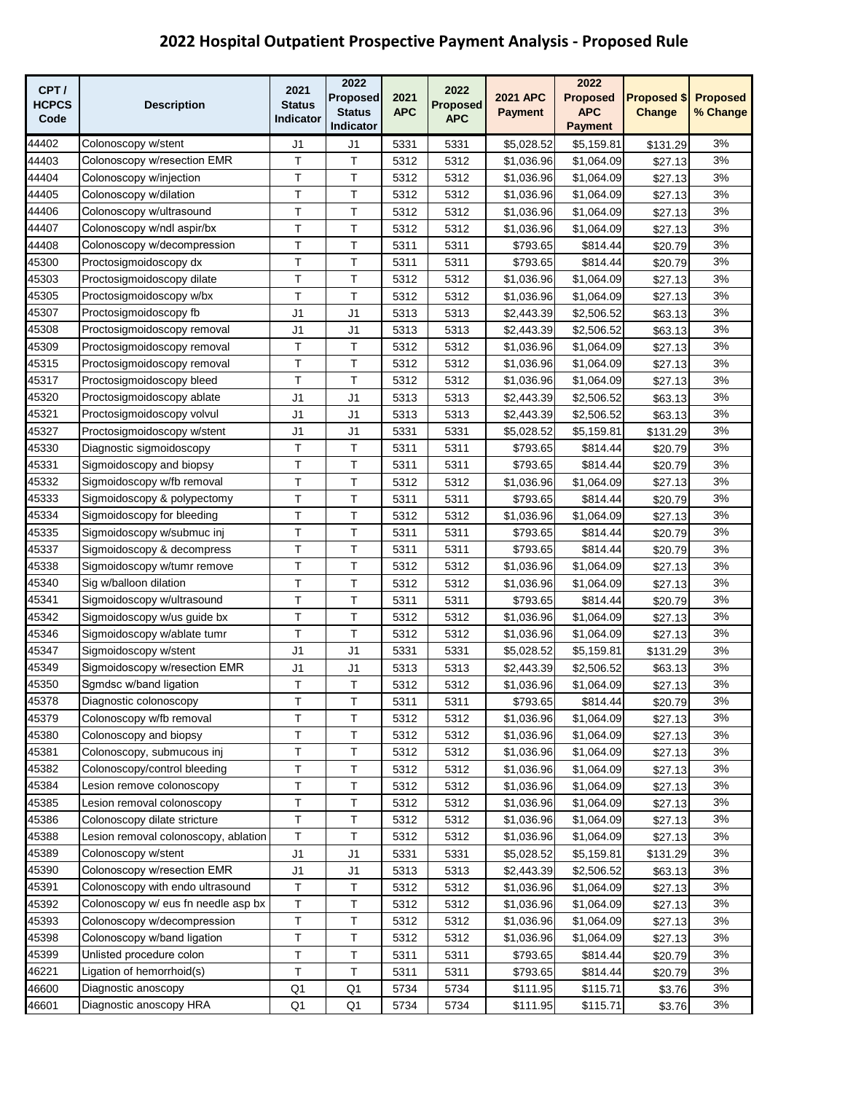| CPT/         |                                      | 2021           | 2022           |            | 2022            |                 | 2022            |                    |                 |
|--------------|--------------------------------------|----------------|----------------|------------|-----------------|-----------------|-----------------|--------------------|-----------------|
| <b>HCPCS</b> | <b>Description</b>                   | <b>Status</b>  | Proposed       | 2021       | <b>Proposed</b> | <b>2021 APC</b> | <b>Proposed</b> | <b>Proposed \$</b> | <b>Proposed</b> |
| Code         |                                      | Indicator      | <b>Status</b>  | <b>APC</b> | <b>APC</b>      | <b>Payment</b>  | <b>APC</b>      | Change             | % Change        |
|              |                                      |                | Indicator      |            |                 |                 | <b>Payment</b>  |                    |                 |
| 44402        | Colonoscopy w/stent                  | J1             | J1             | 5331       | 5331            | \$5,028.52      | \$5,159.81      | \$131.29           | 3%              |
| 44403        | Colonoscopy w/resection EMR          | т              | Τ              | 5312       | 5312            | \$1,036.96      | \$1,064.09      | \$27.13            | 3%              |
| 44404        | Colonoscopy w/injection              | Τ              | Τ              | 5312       | 5312            | \$1,036.96      | \$1,064.09      | \$27.13            | 3%              |
| 44405        | Colonoscopy w/dilation               | Т              | T              | 5312       | 5312            | \$1,036.96      | \$1,064.09      | \$27.13            | 3%              |
| 44406        | Colonoscopy w/ultrasound             | T              | Τ              | 5312       | 5312            | \$1,036.96      | \$1,064.09      | \$27.13            | 3%              |
| 44407        | Colonoscopy w/ndl aspir/bx           | Τ              | Τ              | 5312       | 5312            | \$1,036.96      | \$1,064.09      | \$27.13            | 3%              |
| 44408        | Colonoscopy w/decompression          | T              | Τ              | 5311       | 5311            | \$793.65        | \$814.44        | \$20.79            | 3%              |
| 45300        | Proctosigmoidoscopy dx               | T              | T              | 5311       | 5311            | \$793.65        | \$814.44        | \$20.79            | 3%              |
| 45303        | Proctosigmoidoscopy dilate           | T.             | T              | 5312       | 5312            | \$1,036.96      | \$1,064.09      | \$27.13            | 3%              |
| 45305        | Proctosigmoidoscopy w/bx             | T              | T              | 5312       | 5312            | \$1,036.96      | \$1,064.09      | \$27.13            | 3%              |
| 45307        | Proctosigmoidoscopy fb               | J <sub>1</sub> | J <sub>1</sub> | 5313       | 5313            | \$2,443.39      | \$2,506.52      | \$63.13            | 3%              |
| 45308        | Proctosigmoidoscopy removal          | J <sub>1</sub> | J <sub>1</sub> | 5313       | 5313            | \$2,443.39      | \$2,506.52      | \$63.13            | 3%              |
| 45309        | Proctosigmoidoscopy removal          | Τ              | T              | 5312       | 5312            | \$1,036.96      | \$1,064.09      | \$27.13            | 3%              |
| 45315        | Proctosigmoidoscopy removal          | T              | T              | 5312       | 5312            | \$1,036.96      | \$1,064.09      | \$27.13            | 3%              |
| 45317        | Proctosigmoidoscopy bleed            | T              | T              | 5312       | 5312            | \$1,036.96      | \$1,064.09      | \$27.13            | 3%              |
| 45320        | Proctosigmoidoscopy ablate           | J <sub>1</sub> | J <sub>1</sub> | 5313       | 5313            | \$2,443.39      | \$2,506.52      | \$63.13            | 3%              |
| 45321        | Proctosigmoidoscopy volvul           | J <sub>1</sub> | J <sub>1</sub> | 5313       | 5313            | \$2,443.39      | \$2,506.52      | \$63.13            | 3%              |
| 45327        | Proctosigmoidoscopy w/stent          | J <sub>1</sub> | J <sub>1</sub> | 5331       | 5331            | \$5,028.52      | \$5,159.81      | \$131.29           | 3%              |
| 45330        | Diagnostic sigmoidoscopy             | Τ              | T              | 5311       | 5311            | \$793.65        | \$814.44        | \$20.79            | 3%              |
| 45331        | Sigmoidoscopy and biopsy             | T              | T              | 5311       | 5311            | \$793.65        | \$814.44        | \$20.79            | 3%              |
| 45332        | Sigmoidoscopy w/fb removal           | Τ              | Τ              | 5312       | 5312            | \$1,036.96      | \$1,064.09      | \$27.13            | 3%              |
| 45333        | Sigmoidoscopy & polypectomy          | T              | T              | 5311       | 5311            | \$793.65        | \$814.44        | \$20.79            | 3%              |
| 45334        | Sigmoidoscopy for bleeding           | T              | T              | 5312       | 5312            | \$1,036.96      | \$1,064.09      | \$27.13            | 3%              |
| 45335        | Sigmoidoscopy w/submuc inj           | T              | Т              | 5311       | 5311            | \$793.65        | \$814.44        | \$20.79            | 3%              |
| 45337        | Sigmoidoscopy & decompress           | Τ              | Τ              | 5311       | 5311            | \$793.65        | \$814.44        | \$20.79            | 3%              |
| 45338        | Sigmoidoscopy w/tumr remove          | Τ              | T              | 5312       | 5312            | \$1,036.96      | \$1,064.09      | \$27.13            | 3%              |
| 45340        | Sig w/balloon dilation               | T              | Т              | 5312       | 5312            | \$1,036.96      | \$1,064.09      | \$27.13            | 3%              |
| 45341        | Sigmoidoscopy w/ultrasound           | Τ              | T              | 5311       | 5311            | \$793.65        | \$814.44        | \$20.79            | 3%              |
| 45342        | Sigmoidoscopy w/us guide bx          | Т              | T              | 5312       | 5312            | \$1,036.96      | \$1,064.09      | \$27.13            | 3%              |
| 45346        | Sigmoidoscopy w/ablate tumr          | Τ              | Τ              | 5312       | 5312            | \$1,036.96      | \$1,064.09      | \$27.13            | 3%              |
| 45347        | Sigmoidoscopy w/stent                | J1             | J <sub>1</sub> | 5331       | 5331            | \$5,028.52      | \$5,159.81      | \$131.29           | 3%              |
| 45349        | Sigmoidoscopy w/resection EMR        | J1             | J <sub>1</sub> | 5313       | 5313            | \$2,443.39      | \$2,506.52      | \$63.13            | 3%              |
| 45350        | Sgmdsc w/band ligation               | T              | T              | 5312       | 5312            | \$1,036.96      | \$1,064.09      | \$27.13            | 3%              |
| 45378        | Diagnostic colonoscopy               | Τ              | Т              | 5311       | 5311            | \$793.65        | \$814.44        | \$20.79            | 3%              |
| 45379        | Colonoscopy w/fb removal             | $\top$         | Τ              | 5312       | 5312            | \$1,036.96      | \$1,064.09      | \$27.13            | 3%              |
| 45380        | Colonoscopy and biopsy               | T              | Τ              | 5312       | 5312            | \$1,036.96      | \$1,064.09      | \$27.13            | 3%              |
| 45381        | Colonoscopy, submucous inj           | T              | Τ              | 5312       | 5312            | \$1,036.96      | \$1,064.09      | \$27.13            | 3%              |
| 45382        | Colonoscopy/control bleeding         | Т              | T              | 5312       | 5312            | \$1,036.96      | \$1,064.09      | \$27.13            | 3%              |
| 45384        | Lesion remove colonoscopy            | Τ              | Τ              | 5312       | 5312            | \$1,036.96      | \$1,064.09      | \$27.13            | 3%              |
| 45385        | Lesion removal colonoscopy           | T              | Τ              | 5312       | 5312            | \$1,036.96      | \$1,064.09      | \$27.13            | 3%              |
| 45386        | Colonoscopy dilate stricture         | $\top$         | T              | 5312       | 5312            | \$1,036.96      | \$1,064.09      | \$27.13            | 3%              |
| 45388        | Lesion removal colonoscopy, ablation | T              | Т              | 5312       | 5312            | \$1,036.96      | \$1,064.09      | \$27.13            | 3%              |
| 45389        | Colonoscopy w/stent                  | J <sub>1</sub> | J <sub>1</sub> | 5331       | 5331            | \$5,028.52      | \$5,159.81      | \$131.29           | 3%              |
| 45390        | Colonoscopy w/resection EMR          | J1             | J <sub>1</sub> | 5313       | 5313            | \$2,443.39      | \$2,506.52      | \$63.13            | 3%              |
| 45391        | Colonoscopy with endo ultrasound     | Τ              | т              | 5312       | 5312            | \$1,036.96      | \$1,064.09      | \$27.13            | 3%              |
| 45392        | Colonoscopy w/ eus fn needle asp bx  | T              | Т              | 5312       | 5312            | \$1,036.96      | \$1,064.09      | \$27.13            | 3%              |
| 45393        | Colonoscopy w/decompression          | T              | Т              | 5312       | 5312            | \$1,036.96      | \$1,064.09      | \$27.13            | 3%              |
| 45398        | Colonoscopy w/band ligation          | T              | т              | 5312       | 5312            | \$1,036.96      | \$1,064.09      | \$27.13            | 3%              |
| 45399        | Unlisted procedure colon             | Τ              | т              | 5311       | 5311            | \$793.65        | \$814.44        | \$20.79            | 3%              |
| 46221        | Ligation of hemorrhoid(s)            | T              | T              | 5311       | 5311            | \$793.65        | \$814.44        | \$20.79            | 3%              |
| 46600        | Diagnostic anoscopy                  | Q1             | Q1             | 5734       | 5734            | \$111.95        | \$115.71        | \$3.76             | 3%              |
| 46601        | Diagnostic anoscopy HRA              | Q1             | Q1             | 5734       | 5734            | \$111.95        | \$115.71        | \$3.76             | 3%              |